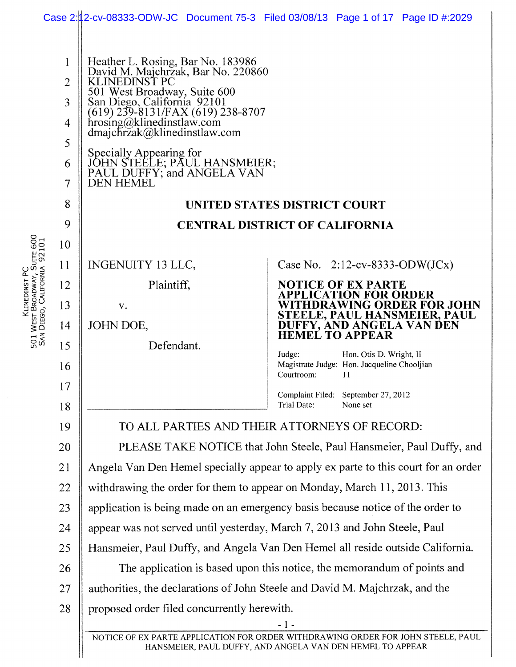|                                                                              |                                                                                    |                                                                                                                                                                                                                                                                                                                                                                                                                                                   | Case 2:12-cv-08333-ODW-JC Document 75-3 Filed 03/08/13 Page 1 of 17 Page ID #:2029                                                                                                                                                                                                   |  |
|------------------------------------------------------------------------------|------------------------------------------------------------------------------------|---------------------------------------------------------------------------------------------------------------------------------------------------------------------------------------------------------------------------------------------------------------------------------------------------------------------------------------------------------------------------------------------------------------------------------------------------|--------------------------------------------------------------------------------------------------------------------------------------------------------------------------------------------------------------------------------------------------------------------------------------|--|
| Klinedinst PC<br>501 West Broadway, Suite 600<br>San Diego, California 92101 | 1<br>2<br>3<br>4<br>5<br>6<br>$\tau$<br>8<br>9<br>10<br>11<br>12<br>13<br>14<br>15 | Heather L. Rosing, Bar No. 183986<br>David M. Majchrzak, Bar No. 220860<br>KLINEDINST PC<br>501 West Broadway, Suite 600<br>San Diego, California 92101<br>(619) 239-8131/FAX (619) 238-8707<br>hrosing@klinedinstlaw.com<br>dmajchrzak@klinedinstlaw.com<br>Specially Appearing for<br>JOHN STEELE; PAUL HANSMEIER;<br>PAUL DUFFY; and ANGELA VAN<br><b>DEN HEMEL</b><br><b>INGENUITY 13 LLC,</b><br>Plaintiff,<br>V.<br>JOHN DOE,<br>Defendant. | UNITED STATES DISTRICT COURT<br><b>CENTRAL DISTRICT OF CALIFORNIA</b><br>Case No. $2:12$ -cv-8333-ODW(JCx)<br><b>NOTICE OF EX PARTE</b><br>PPLICATION FOR ORDER<br>WITHDRAWING ORDER FOR JOHN<br>STEELE, PAUL HANSMEIER, PAUL<br>DUFFY, AND ANGELA VAN DEN<br><b>HEMEL TO APPEAR</b> |  |
|                                                                              | 16                                                                                 |                                                                                                                                                                                                                                                                                                                                                                                                                                                   | Judge:<br>Hon. Otis D. Wright, II<br>Magistrate Judge: Hon. Jacqueline Chooljian<br>Courtroom:<br>-11                                                                                                                                                                                |  |
|                                                                              | 17<br>18                                                                           |                                                                                                                                                                                                                                                                                                                                                                                                                                                   | Complaint Filed: September 27, 2012<br>Trial Date:<br>None set                                                                                                                                                                                                                       |  |
|                                                                              | 19                                                                                 |                                                                                                                                                                                                                                                                                                                                                                                                                                                   | TO ALL PARTIES AND THEIR ATTORNEYS OF RECORD:                                                                                                                                                                                                                                        |  |
|                                                                              | 20                                                                                 |                                                                                                                                                                                                                                                                                                                                                                                                                                                   | PLEASE TAKE NOTICE that John Steele, Paul Hansmeier, Paul Duffy, and                                                                                                                                                                                                                 |  |
|                                                                              | 21                                                                                 |                                                                                                                                                                                                                                                                                                                                                                                                                                                   | Angela Van Den Hemel specially appear to apply ex parte to this court for an order                                                                                                                                                                                                   |  |
|                                                                              | 22                                                                                 | withdrawing the order for them to appear on Monday, March 11, 2013. This                                                                                                                                                                                                                                                                                                                                                                          |                                                                                                                                                                                                                                                                                      |  |
|                                                                              | 23                                                                                 |                                                                                                                                                                                                                                                                                                                                                                                                                                                   | application is being made on an emergency basis because notice of the order to                                                                                                                                                                                                       |  |
|                                                                              | 24                                                                                 | appear was not served until yesterday, March 7, 2013 and John Steele, Paul                                                                                                                                                                                                                                                                                                                                                                        |                                                                                                                                                                                                                                                                                      |  |
|                                                                              | 25                                                                                 |                                                                                                                                                                                                                                                                                                                                                                                                                                                   | Hansmeier, Paul Duffy, and Angela Van Den Hemel all reside outside California.                                                                                                                                                                                                       |  |
|                                                                              | 26                                                                                 |                                                                                                                                                                                                                                                                                                                                                                                                                                                   | The application is based upon this notice, the memorandum of points and                                                                                                                                                                                                              |  |
|                                                                              | 27                                                                                 |                                                                                                                                                                                                                                                                                                                                                                                                                                                   | authorities, the declarations of John Steele and David M. Majchrzak, and the                                                                                                                                                                                                         |  |
|                                                                              | 28                                                                                 | proposed order filed concurrently herewith.                                                                                                                                                                                                                                                                                                                                                                                                       |                                                                                                                                                                                                                                                                                      |  |
|                                                                              |                                                                                    |                                                                                                                                                                                                                                                                                                                                                                                                                                                   | $-1-$<br>NOTICE OF EX PARTE APPLICATION FOR ORDER WITHDRAWING ORDER FOR JOHN STEELE, PAUL<br>HANSMEIER, PAUL DUFFY, AND ANGELA VAN DEN HEMEL TO APPEAR                                                                                                                               |  |

HANSMEIER, PAUL DUFFY, AND ANGELA VAN DEN HEMEL TO APPEAR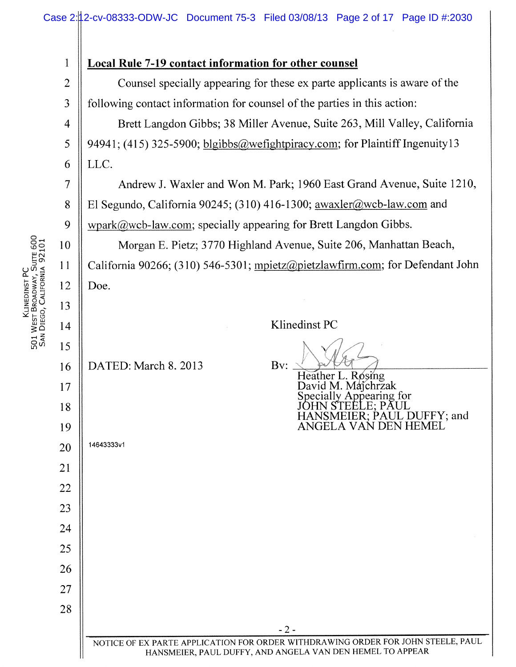| 1              | <b>Local Rule 7-19 contact information for other counsel</b>                                                                                  |  |  |
|----------------|-----------------------------------------------------------------------------------------------------------------------------------------------|--|--|
| $\overline{2}$ | Counsel specially appearing for these ex parte applicants is aware of the                                                                     |  |  |
| 3              | following contact information for counsel of the parties in this action:                                                                      |  |  |
| $\overline{4}$ | Brett Langdon Gibbs; 38 Miller Avenue, Suite 263, Mill Valley, California                                                                     |  |  |
| 5              | 94941; (415) 325-5900; blgibbs@wefightpiracy.com; for Plaintiff Ingenuity13                                                                   |  |  |
| 6              | LLC.                                                                                                                                          |  |  |
| 7              | Andrew J. Waxler and Won M. Park; 1960 East Grand Avenue, Suite 1210,                                                                         |  |  |
| 8              | El Segundo, California 90245; (310) 416-1300; awaxler@wcb-law.com and                                                                         |  |  |
| 9              | $wpark@web-law.com$ ; specially appearing for Brett Langdon Gibbs.                                                                            |  |  |
| 10             | Morgan E. Pietz; 3770 Highland Avenue, Suite 206, Manhattan Beach,                                                                            |  |  |
| 11             | California 90266; (310) 546-5301; mpietz@pietzlawfirm.com; for Defendant John                                                                 |  |  |
| 12             | Doe.                                                                                                                                          |  |  |
| 13             |                                                                                                                                               |  |  |
| 14             | Klinedinst PC                                                                                                                                 |  |  |
| 15             |                                                                                                                                               |  |  |
| 16             | DATED: March 8. 2013<br>Bv:<br>Heather L. Rosing                                                                                              |  |  |
| 17             | David M. Maichrzak<br>Specially Appearing for                                                                                                 |  |  |
| 18             | IANSMEIER: PAUL DUFFY: and                                                                                                                    |  |  |
| 19             | ANGELA VAN DEN HEMEL                                                                                                                          |  |  |
| 20             | 14643333v1                                                                                                                                    |  |  |
| 21             |                                                                                                                                               |  |  |
| 22             |                                                                                                                                               |  |  |
| 23             |                                                                                                                                               |  |  |
| 24             |                                                                                                                                               |  |  |
| 25             |                                                                                                                                               |  |  |
| 26             |                                                                                                                                               |  |  |
| 27             |                                                                                                                                               |  |  |
| 28             |                                                                                                                                               |  |  |
|                | $-2-$                                                                                                                                         |  |  |
|                | NOTICE OF EX PARTE APPLICATION FOR ORDER WITHDRAWING ORDER FOR JOHN STEELE, PAUL<br>HANSMEIER, PAUL DUFFY, AND ANGELA VAN DEN HEMEL TO APPEAR |  |  |

KLINEDINST PC<br>501 WEST BROADWAY, SUITE 600<br>SAN DIEGO, CALIFORNIA 92101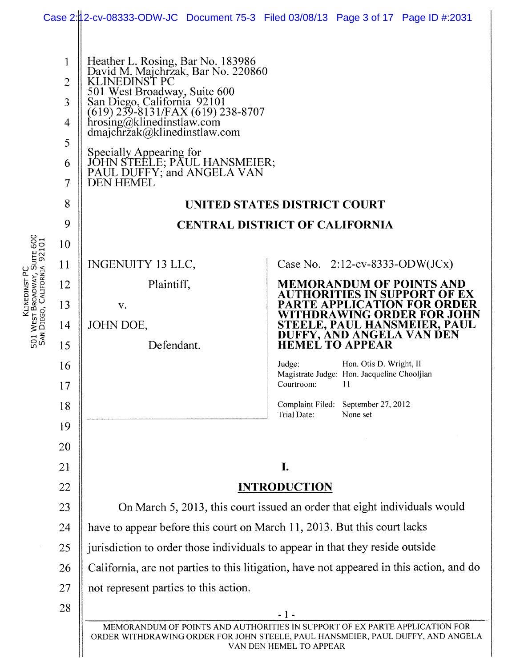|                                                                              |                                                             |                                                                                                                                                                                                                                                                                                                                                                        | Case 2.12-cv-08333-ODW-JC Document 75-3 Filed 03/08/13 Page 3 of 17 Page ID #:2031                                                                                                        |  |
|------------------------------------------------------------------------------|-------------------------------------------------------------|------------------------------------------------------------------------------------------------------------------------------------------------------------------------------------------------------------------------------------------------------------------------------------------------------------------------------------------------------------------------|-------------------------------------------------------------------------------------------------------------------------------------------------------------------------------------------|--|
|                                                                              | 1<br>$\overline{2}$<br>3<br>4<br>5<br>6<br>$\tau$<br>8<br>9 | Heather L. Rosing, Bar No. 183986<br>David M. Majchrzak, Bar No. 220860<br>KLINEDINST PC<br>501 West Broadway, Suite 600<br>San Diego, California 92101<br>(619) 239-8131/FAX (619) 238-8707<br>hrosing@klinedinstlaw.com<br>dmajchrzak@klinedinstlaw.com<br>Specially Appearing for<br>JOHN STEELE; PAUL HANSMEIER;<br>PAUL DUFFY; and ANGELA VAN<br><b>DEN HEMEL</b> | UNITED STATES DISTRICT COURT<br><b>CENTRAL DISTRICT OF CALIFORNIA</b>                                                                                                                     |  |
|                                                                              | 10                                                          |                                                                                                                                                                                                                                                                                                                                                                        |                                                                                                                                                                                           |  |
| Klinedinst PC<br>501 West Broadway, Suite 600<br>San Diego, California 92101 | 11                                                          | INGENUITY 13 LLC,                                                                                                                                                                                                                                                                                                                                                      | Case No. $2:12$ -cv-8333-ODW(JCx)                                                                                                                                                         |  |
|                                                                              | 12                                                          | Plaintiff,                                                                                                                                                                                                                                                                                                                                                             | <b>MEMORANDUM OF POINTS AND</b><br>UTHORITIES IN SUPPORT OF EX                                                                                                                            |  |
|                                                                              | 13                                                          | V.                                                                                                                                                                                                                                                                                                                                                                     | PARTE APPLICATION FOR ORDER<br>WITHDRAWING ORDER FOR JOHN                                                                                                                                 |  |
|                                                                              | 14                                                          | JOHN DOE,                                                                                                                                                                                                                                                                                                                                                              | STEELE, PAUL HANSMEIER, PAUL<br>DUFFY, AND ANGELA VAN DEN                                                                                                                                 |  |
|                                                                              | 15                                                          | Defendant.                                                                                                                                                                                                                                                                                                                                                             | <b>HEMEL TO APPEAR</b>                                                                                                                                                                    |  |
|                                                                              | 16                                                          |                                                                                                                                                                                                                                                                                                                                                                        | Hon. Otis D. Wright, II<br>Judge:<br>Magistrate Judge: Hon. Jacqueline Chooljian                                                                                                          |  |
|                                                                              | 17                                                          |                                                                                                                                                                                                                                                                                                                                                                        | Courtroom:<br>$\mathbf{H}$                                                                                                                                                                |  |
|                                                                              | 18                                                          |                                                                                                                                                                                                                                                                                                                                                                        | Complaint Filed: September 27, 2012<br><b>Trial Date:</b><br>None set                                                                                                                     |  |
|                                                                              | 19                                                          |                                                                                                                                                                                                                                                                                                                                                                        |                                                                                                                                                                                           |  |
|                                                                              | 20                                                          |                                                                                                                                                                                                                                                                                                                                                                        |                                                                                                                                                                                           |  |
|                                                                              | 21                                                          | I.                                                                                                                                                                                                                                                                                                                                                                     |                                                                                                                                                                                           |  |
|                                                                              | 22                                                          | <b>INTRODUCTION</b>                                                                                                                                                                                                                                                                                                                                                    |                                                                                                                                                                                           |  |
|                                                                              | 23                                                          | On March 5, 2013, this court issued an order that eight individuals would                                                                                                                                                                                                                                                                                              |                                                                                                                                                                                           |  |
|                                                                              | 24                                                          | have to appear before this court on March 11, 2013. But this court lacks                                                                                                                                                                                                                                                                                               |                                                                                                                                                                                           |  |
|                                                                              | 25                                                          |                                                                                                                                                                                                                                                                                                                                                                        | jurisdiction to order those individuals to appear in that they reside outside                                                                                                             |  |
|                                                                              | 26                                                          | California, are not parties to this litigation, have not appeared in this action, and do                                                                                                                                                                                                                                                                               |                                                                                                                                                                                           |  |
|                                                                              | 27                                                          | not represent parties to this action.                                                                                                                                                                                                                                                                                                                                  |                                                                                                                                                                                           |  |
|                                                                              | 28                                                          |                                                                                                                                                                                                                                                                                                                                                                        | $-1-$                                                                                                                                                                                     |  |
|                                                                              |                                                             |                                                                                                                                                                                                                                                                                                                                                                        | MEMORANDUM OF POINTS AND AUTHORITIES IN SUPPORT OF EX PARTE APPLICATION FOR<br>ORDER WITHDRAWING ORDER FOR JOHN STEELE, PAUL HANSMEIER, PAUL DUFFY, AND ANGELA<br>VAN DEN HEMEL TO APPEAR |  |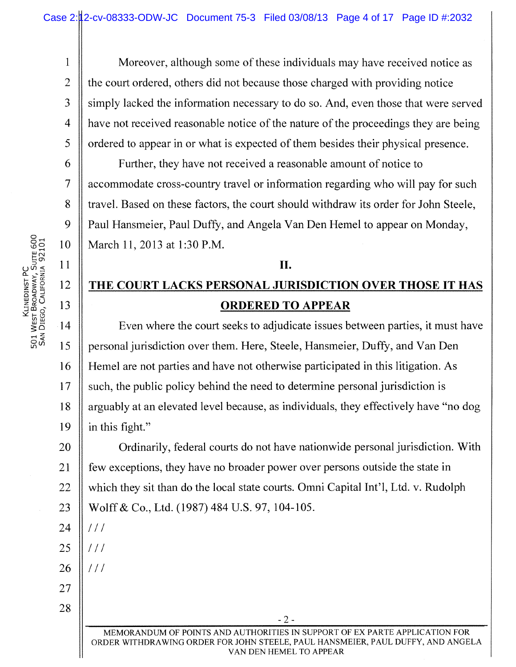1 Moreover, although some of these individuals may have received notice as 2 the court ordered, others did not because those charged with providing notice 3 S inply lacked the information necessary to do so. And, even those that were served 4 have not received reasonable notice of the nature of the proceedings they are being 5 | ordered to appear in or what is expected of them besides their physical presence.

6 Further, they have not received a reasonable amount of notice to 7 accommodate cross-country travel or information regarding who will pay for such 8 Travel. Based on these factors, the court should withdraw its order for John Steele, 9 | Paul Hansmeier, Paul Duffy, and Angela Van Den Hemel to appear on Monday, 10 March 11, 2013 at 1:30 P.M.

# $\|$  II. 12 THE COURT LACKS PERSONAL JURISDICTION OVER THOSE IT HAS 13 || **ORDERED TO APPEAR**

14 Square Even where the court seeks to adjudicate issues between parties, it must have 15 | personal jurisdiction over them. Here, Steele, Hansmeier, Duffy, and Van Den 16 Hemel are not parties and have not otherwise participated in this litigation. As  $17$  such, the public policy behind the need to determine personal jurisdiction is 18 | arguably at an elevated level because, as individuals, they effectively have "no dog" 19  $\parallel$  in this fight." 20 **Community**, federal courts do not have nationwide personal jurisdiction. With

21 | few exceptions, they have no broader power over persons outside the state in 22  $\parallel$  which they sit than do the local state courts. Omni Capital Int'l, Ltd. v. Rudolph 23 Wolff & Co., Ltd. (1987) 484 U.S. 97, 104-105.

 $25$  |  $111$ 

 $24$  ||  $111$ 

 $26$  ||  $111$ 

27 28

> MEMORANDUM OF POINTS AND AUTHORITIES IN SUPPORT OF EX PARTE APPLICATION FOR ORDER WITHDRAWING ORDER FOR JOHN STEELE, PAUL HANSMEIER, PAUL DUFFY, AND ANGELA VAN DEN HEMEL TO APPEAR

 $-2-$ 

Klinedinst PC<br>501 West Broadway, Suite 600<br>San Diego, California 92101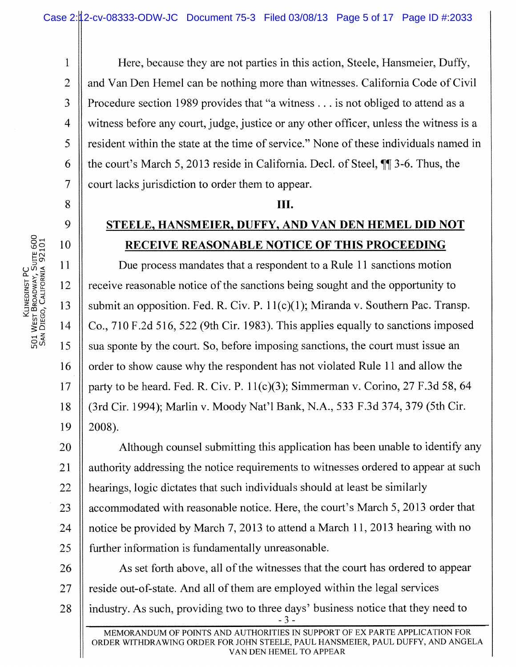**<sup>1</sup>**Here, because they are not parties in this action, Steele, Hansmeier, Duffy, 2 | and Van Den Hemel can be nothing more than witnesses. California Code of Civil 3 Procedure section 1989 provides that "a witness . . . is not obliged to attend as a 4 witness before any court, judge, justice or any other officer, unless the witness is a 5 S is resident within the state at the time of service." None of these individuals named in 6 the court's March 5, 2013 reside in California. Decl. of Steel, ¶ 3-6. Thus, the 7 | court lacks jurisdiction to order them to appear.

## Ш.

## 9 **STEELE, HANSMEIER, DUFFY, AND VAN DEN HEMEL DID NOT 0 0 RECEIVE REASONABLE NOTICE OF THIS PROCEEDING**

11 **Due process mandates that a respondent to a Rule 11 sanctions motion** 2 12 receive reasonable notice of the sanctions being sought and the opportunity to 13 || submit an opposition. Fed. R. Civ. P. 11(c)(1); Miranda v. Southern Pac. Transp. 14  $\parallel$  Co., 710 F.2d 516, 522 (9th Cir. 1983). This applies equally to sanctions imposed  $15$  sua sponte by the court. So, before imposing sanctions, the court must issue an 16 | order to show cause why the respondent has not violated Rule 11 and allow the 17 | party to be heard. Fed. R. Civ. P.  $11(c)(3)$ ; Simmerman v. Corino, 27 F.3d 58, 64 18 (3rd Cir. 1994); Marlin v. Moody Nat'l Bank, N.A., 533 F.3d 374, 379 (5th Cir.  $19 \parallel 2008$ ).

20 ||<br>
Although counsel submitting this application has been unable to identify any 21 | authority addressing the notice requirements to witnesses ordered to appear at such  $22$  || hearings, logic dictates that such individuals should at least be similarly 23 accommodated with reasonable notice. Here, the court's March 5, 2013 order that 24 | notice be provided by March 7, 2013 to attend a March 11, 2013 hearing with no 25 | further information is fundamentally unreasonable.

26 As set forth above, all of the witnesses that the court has ordered to appear  $27$  || reside out-of-state. And all of them are employed within the legal services 28 | industry. As such, providing two to three days' business notice that they need to - 3 -

8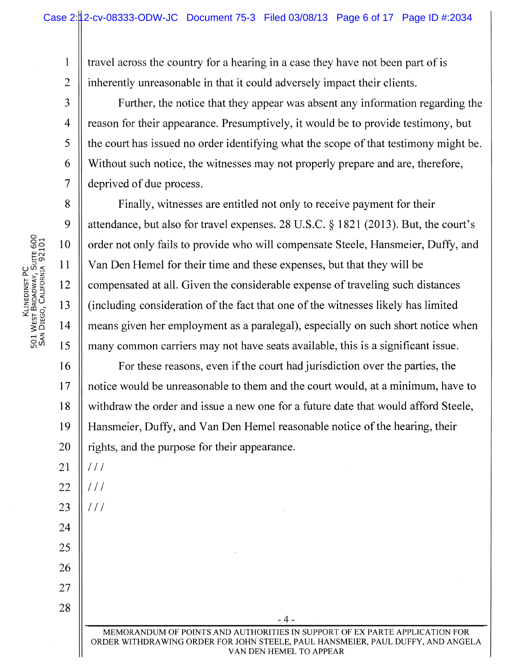1 travel across the country for a hearing in a case they have not been part of is  $\overline{2}$ inherently unreasonable in that it could adversely impact their clients.

3 Further, the notice that they appear was absent any information regarding the 4 reason for their appearance. Presumptively, it would be to provide testimony, but 5 | the court has issued no order identifying what the scope of that testimony might be. 6 Without such notice, the witnesses may not properly prepare and are, therefore, 7 | deprived of due process.

8 S Finally, witnesses are entitled not only to receive payment for their 9 desimination 1 attendance, but also for travel expenses. 28 U.S.C.  $\S$  1821 (2013). But, the court's 10 || order not only fails to provide who will compensate Steele, Hansmeier, Duffy, and 11  $\parallel$  Van Den Hemel for their time and these expenses, but that they will be  $\|12\|$  compensated at all. Given the considerable expense of traveling such distances  $\parallel$  13  $\parallel$  (including consideration of the fact that one of the witnesses likely has limited 14 means given her employment as a paralegal), especially on such short notice when 15 | many common carriers may not have seats available, this is a significant issue.

16 **For these reasons, even if the court had jurisdiction over the parties, the** 17 || notice would be unreasonable to them and the court would, at a minimum, have to 18 withdraw the order and issue a new one for a future date that would afford Steele, 19 Hansmeier, Duffy, and Van Den Hemel reasonable notice of the hearing, their  $20$  || rights, and the purpose for their appearance.

LU j

 $21$  |  $11/$ 

 $22$   $1111$ 

 $23$   $\parallel$  ///

24

25

26

27

28

MEMORANDUM OF POINTS AND AUTHORITIES IN SUPPORT OF EX PARTE APPLICATION FOR ORDER WITHDRAWING ORDER FOR JOHN STEELE, PAUL HANSMEIER, PAUL DUFFY, AND ANGELA VAN DEN HEMEL TO APPEAR

- 4 -

<u>្</u>ត  $\mathop{\mathbb C} \limits^\mathsf{C} \tilde{\mathop{\Sigma}} \mathop{\mathbb R} \limits^\mathsf{C}$  $\Xi$   $\Xi$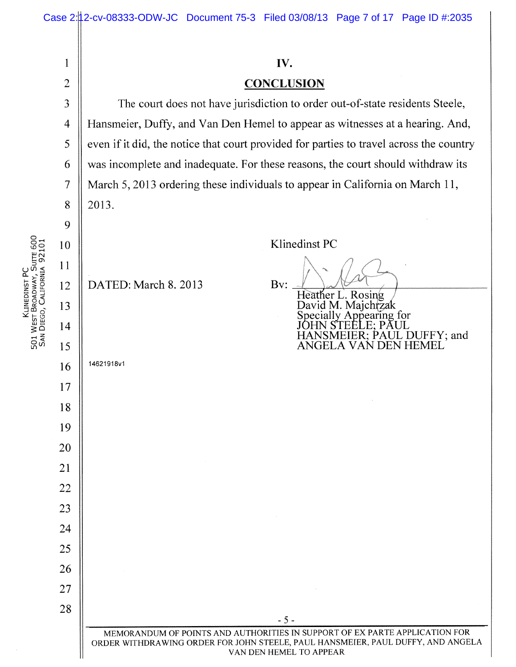| Klinedinst PC<br>501 West Broadway, Suite 600<br>San Diego, California 92101 |                | IV.                                                                                     |  |  |
|------------------------------------------------------------------------------|----------------|-----------------------------------------------------------------------------------------|--|--|
|                                                                              | $\overline{c}$ | <b>CONCLUSION</b>                                                                       |  |  |
|                                                                              | 3              | The court does not have jurisdiction to order out-of-state residents Steele,            |  |  |
|                                                                              | 4              | Hansmeier, Duffy, and Van Den Hemel to appear as witnesses at a hearing. And,           |  |  |
|                                                                              | 5              | even if it did, the notice that court provided for parties to travel across the country |  |  |
|                                                                              | 6              | was incomplete and inadequate. For these reasons, the court should withdraw its         |  |  |
|                                                                              | $\tau$         | March 5, 2013 ordering these individuals to appear in California on March 11,           |  |  |
|                                                                              | 8              | 2013.                                                                                   |  |  |
|                                                                              | 9              |                                                                                         |  |  |
|                                                                              | 10             | Klinedinst PC                                                                           |  |  |
|                                                                              | 11             |                                                                                         |  |  |
|                                                                              | 12             | DATED: March 8. 2013<br>Bv:<br>Heather L. Rosing                                        |  |  |
|                                                                              | 13             | David M. Majchtzak<br>Specially Appearing for                                           |  |  |
|                                                                              | 14             | IOHN STEELE; PAUL<br>HANSMEIER; PAUL DUFFY; and                                         |  |  |
|                                                                              | 15             | ANGELA VAN DEN HEMEL                                                                    |  |  |
|                                                                              | 16             | 14621918v1                                                                              |  |  |
|                                                                              | 17             |                                                                                         |  |  |
|                                                                              | 18             |                                                                                         |  |  |
|                                                                              | 19             |                                                                                         |  |  |
|                                                                              | 20             |                                                                                         |  |  |
|                                                                              | 21             |                                                                                         |  |  |
|                                                                              | 22<br>23       |                                                                                         |  |  |
|                                                                              | 24             |                                                                                         |  |  |
|                                                                              | 25             |                                                                                         |  |  |
|                                                                              | 26             |                                                                                         |  |  |
|                                                                              | 27             |                                                                                         |  |  |
|                                                                              | 28             |                                                                                         |  |  |
|                                                                              |                | $-5-$<br>MEMORANDUM OF POINTS AND AUTHORITIES IN SUPPORT OF EX PARTE APPLICATION FOR    |  |  |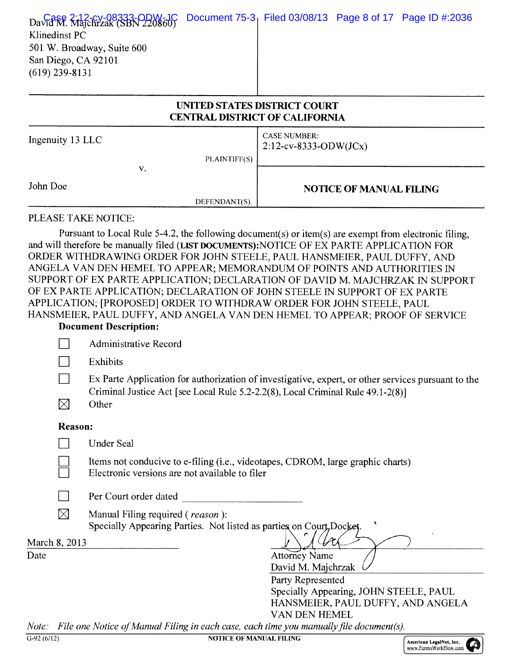| David M. Majchrzak (SBN 220860)<br>Klinedinst PC<br>501 W. Broadway, Suite 600<br>San Diego, CA 92101<br>$(619)$ 239-8131 | UNITED STATES DISTRICT COURT          |                                                 |                                | Document 75-3 Filed 03/08/13 Page 8 of 17 Page ID #:2036 |
|---------------------------------------------------------------------------------------------------------------------------|---------------------------------------|-------------------------------------------------|--------------------------------|----------------------------------------------------------|
|                                                                                                                           | <b>CENTRAL DISTRICT OF CALIFORNIA</b> |                                                 |                                |                                                          |
| Ingenuity 13 LLC                                                                                                          |                                       | <b>CASE NUMBER:</b><br>$2:12$ -cv-8333-ODW(JCx) |                                |                                                          |
| V.                                                                                                                        | PLAINTIFF(S)                          |                                                 |                                |                                                          |
| John Doe                                                                                                                  |                                       |                                                 | <b>NOTICE OF MANUAL FILING</b> |                                                          |

#### PLEASE TAKE NOTICE:

Pursuant to Local Rule 5-4.2, the following document(s) or item(s) are exempt from electronic filing, and will therefore be manually filed (LIST DOcumENTs):NOTICE OF EX PARTE APPLICATION FOR ORDER WITHDRAWING ORDER FOR JOHN STEELE, PAUL HANSMEIER, PAUL DUFFY, AND ANGELA VAN DEN HEMEL TO APPEAR; MEMORANDUM OF POINTS AND AUTHORITIES IN SUPPORT OF EX PARTE APPLICATION; DECLARATION OF DAVID M. MAJCHRZAK IN SUPPORT OF EX PARTE APPLICATION; DECLARATION OF JOHN STEELE IN SUPPORT OF EX PARTE APPLICATION; [PROPOSED] ORDER TO WITHDRAW ORDER FOR JOHN STEELE, PAUL HANSMEIER, PAUL DUFFY, AND ANGELA VAN DEN HEMEL TO APPEAR; PROOF OF SERVICE

DEFENDANT(S).

### Document Description:

|             | Administrative Record                                                                                                             |
|-------------|-----------------------------------------------------------------------------------------------------------------------------------|
|             | Exhibits                                                                                                                          |
|             | Ex Parte Application for authorization of investigative, expert, or other services pursuant to the                                |
| $\boxtimes$ | Criminal Justice Act [see Local Rule 5.2-2.2(8), Local Criminal Rule 49.1-2(8)]<br>Other                                          |
|             |                                                                                                                                   |
|             | <b>Under Seal</b>                                                                                                                 |
|             | Items not conducive to e-filing (i.e., videotapes, CDROM, large graphic charts)<br>Electronic versions are not available to filer |
|             | Per Court order dated                                                                                                             |
| ⊠           | Manual Filing required (reason):<br>Specially Appearing Parties. Not listed as parties on Court, Docket                           |
|             |                                                                                                                                   |
|             | <b>Attorney Name</b><br>David M. Majchrzak                                                                                        |
|             | Party Represented                                                                                                                 |
|             | Specially Appearing, JOHN STEELE, PAUL                                                                                            |
|             | HANSMEIER, PAUL DUFFY, AND ANGELA<br>VAN DEN HEMEL                                                                                |
|             | Note: File one Notice of Manual Filing in each case, each time you manually file document(s).                                     |
|             | <b>Reason:</b><br>March 8, 2013                                                                                                   |

G-92 (6/12) NOTICE OF MANUAL FILING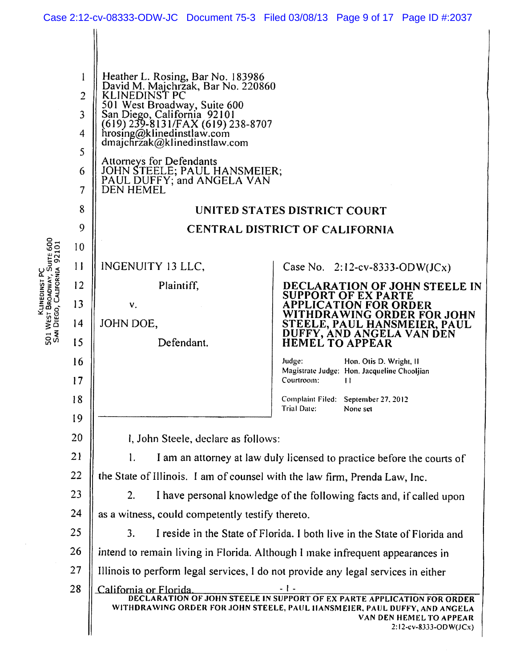|                                                             |                                                           |                                                                                                                                                                                                                                                                                                                                                                         | Case 2:12-cv-08333-ODW-JC Document 75-3 Filed 03/08/13 Page 9 of 17 Page ID #:2037                                                                                                                                |  |
|-------------------------------------------------------------|-----------------------------------------------------------|-------------------------------------------------------------------------------------------------------------------------------------------------------------------------------------------------------------------------------------------------------------------------------------------------------------------------------------------------------------------------|-------------------------------------------------------------------------------------------------------------------------------------------------------------------------------------------------------------------|--|
|                                                             | l<br>$\overline{2}$<br>$\overline{3}$<br>4<br>5<br>6<br>7 | Heather L. Rosing, Bar No. 183986<br>David M. Majchrzak, Bar No. 220860<br>KLINEDINST PC<br>501 West Broadway, Suite 600<br>San Diego, California 92101<br>(619) 239-8131/FAX (619) 238-8707<br>hrosing@klinedinstlaw.com<br>dmajchrzak@klinedinstlaw.com<br>Attorneys for Defendants<br>JOHN STEELE; PAUL HANSMEIER;<br>PAUL DUFFY; and ANGELA VAN<br><b>DEN HEMEL</b> |                                                                                                                                                                                                                   |  |
| 501 WEST BROADWAY, SUITE 600<br>SAN DIEGO, CALIFORNIA 92101 | 8                                                         |                                                                                                                                                                                                                                                                                                                                                                         | UNITED STATES DISTRICT COURT                                                                                                                                                                                      |  |
|                                                             | 9                                                         | <b>CENTRAL DISTRICT OF CALIFORNIA</b>                                                                                                                                                                                                                                                                                                                                   |                                                                                                                                                                                                                   |  |
|                                                             | 10                                                        |                                                                                                                                                                                                                                                                                                                                                                         |                                                                                                                                                                                                                   |  |
|                                                             | $\mathbf{1}$                                              | INGENUITY 13 LLC,                                                                                                                                                                                                                                                                                                                                                       | Case No. $2:12$ -cv-8333-ODW(JCx)                                                                                                                                                                                 |  |
| KLINEDINST P                                                | 12                                                        | Plaintiff,                                                                                                                                                                                                                                                                                                                                                              | DECLARATION OF JOHN STEELE IN<br><b>SUPPORT OF EX PARTE</b>                                                                                                                                                       |  |
|                                                             | 13                                                        | V.                                                                                                                                                                                                                                                                                                                                                                      | <b>APPLICATION FOR ORDER</b><br>WITHDRAWING ORDER FOR JOHN                                                                                                                                                        |  |
|                                                             | 14<br>15                                                  | JOHN DOE,<br>Defendant.                                                                                                                                                                                                                                                                                                                                                 | STEELE, PAUL HANSMEIER, PAUL<br>DUFFY, AND ANGELA VAN DEN                                                                                                                                                         |  |
|                                                             | 16                                                        |                                                                                                                                                                                                                                                                                                                                                                         | <b>HEMEL TO APPEAR</b><br>Judge:                                                                                                                                                                                  |  |
|                                                             | 17                                                        |                                                                                                                                                                                                                                                                                                                                                                         | Hon. Otis D. Wright, II<br>Magistrate Judge: Hon. Jacqueline Chooljian<br>Courtroom:<br>П                                                                                                                         |  |
|                                                             | 18                                                        |                                                                                                                                                                                                                                                                                                                                                                         | Complaint Filed: September 27, 2012<br><b>Trial Date:</b><br>None set                                                                                                                                             |  |
|                                                             | 19                                                        |                                                                                                                                                                                                                                                                                                                                                                         |                                                                                                                                                                                                                   |  |
|                                                             | 20                                                        | I, John Steele, declare as follows:                                                                                                                                                                                                                                                                                                                                     |                                                                                                                                                                                                                   |  |
|                                                             | 21                                                        | 1.<br>I am an attorney at law duly licensed to practice before the courts of                                                                                                                                                                                                                                                                                            |                                                                                                                                                                                                                   |  |
|                                                             | 22                                                        | the State of Illinois. I am of counsel with the law firm, Prenda Law, Inc.                                                                                                                                                                                                                                                                                              |                                                                                                                                                                                                                   |  |
|                                                             | 23                                                        | I have personal knowledge of the following facts and, if called upon<br>2.                                                                                                                                                                                                                                                                                              |                                                                                                                                                                                                                   |  |
|                                                             | 24                                                        | as a witness, could competently testify thereto.                                                                                                                                                                                                                                                                                                                        |                                                                                                                                                                                                                   |  |
|                                                             | 25                                                        | 3.                                                                                                                                                                                                                                                                                                                                                                      | I reside in the State of Florida. I both live in the State of Florida and                                                                                                                                         |  |
|                                                             | 26                                                        |                                                                                                                                                                                                                                                                                                                                                                         | intend to remain living in Florida. Although I make infrequent appearances in                                                                                                                                     |  |
|                                                             | 27                                                        | Illinois to perform legal services, I do not provide any legal services in either                                                                                                                                                                                                                                                                                       |                                                                                                                                                                                                                   |  |
|                                                             | 28                                                        | California or Florida                                                                                                                                                                                                                                                                                                                                                   | - 1 -<br>DECLARATION OF JOHN STEELE IN SUPPORT OF EX PARTE APPLICATION FOR ORDER<br>WITHDRAWING ORDER FOR JOHN STEELE, PAUL HANSMEIER, PAUL DUFFY, AND ANGELA<br>VAN DEN HEMEL TO APPEAR<br>2:12-cv-8333-ODW(JCx) |  |

 $\ddot{\phantom{0}}$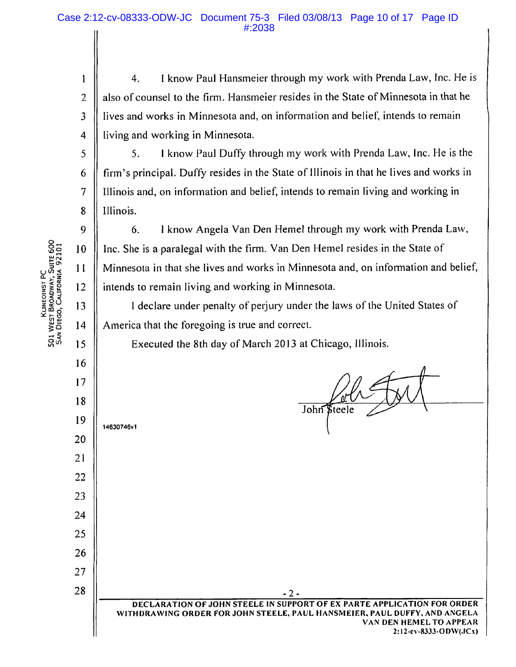4. I know Paul Hansmeier through my work with Prenda Law, Inc. He is also of counsel to the firm. Hansmeier resides in the State of Minnesota in that he ives and works in Minnesota and, on information and belief, intends to remain iving and working in Minnesota.

5. I know Paul Duffy through my work with Prenda Law, Inc. He is the firm's principal. Duffy resides in the State of Illinois in that he lives and works in Illinois and, on information and belief, intends to remain living and working in linois.

6. I know Angela Van Den Hemel through my work with Prenda Law, nc. She is a paralegal with the firm. Van Den Hemel resides in the State of Minnesota in that she lives and works in Minnesota and, on information and belief, intends to remain living and working in Minnesota.

I declare under penalty of perjury under the laws of the United States of America that the foregoing is true and correct.

Executed the 8th day of March 2013 at Chicago, Illinois.

Poli FM John *Steele* 

**14630746v1** 

**DECLARATION OF JOHN STEELE IN SUPPORT OF EX PARTE APPLICATION FOR ORDER WITHDRAWING ORDER FOR JOHN STEELE, PAUL FIANSMEIER, PAUL DUFFY, AND ANGELA VAN DEN HEMEL TO APPEAR 2:12-cv-83.33-ODW(.JCA)** 

 $-2 -$ 

KLINEDINST PC<br>501 WEST BROADWAY, SUITE 600<br>5AN DIEGO, CALIFORNIA 92101

2

 $\mathbf{I}$ 

4

 $\overline{3}$ 

5

6

7

9

10

8

 $12$ 

 $11$ 

13

4

5

6

17

18

19

20

21

23

22

24

25

27

26

28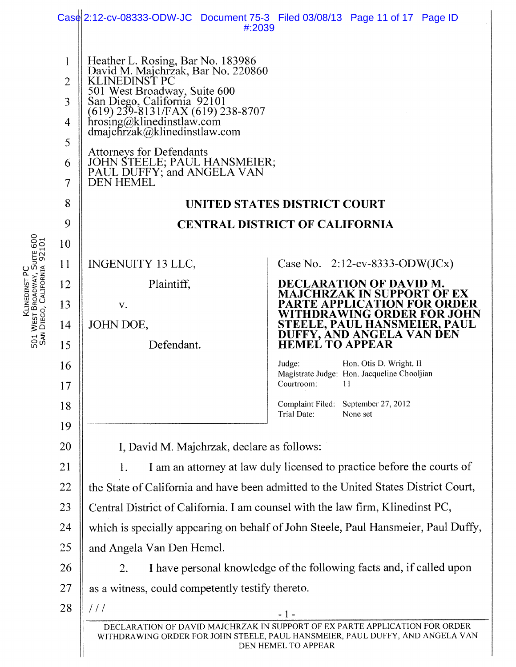|                                                                              |                                                                                                                     | #:2039                                                                                                                                                                                                                                                                                                                                                                                                                                                    | Case 2:12-cv-08333-ODW-JC Document 75-3 Filed 03/08/13 Page 11 of 17 Page ID                                                                                                                                                                                                                                                                                                                                             |  |
|------------------------------------------------------------------------------|---------------------------------------------------------------------------------------------------------------------|-----------------------------------------------------------------------------------------------------------------------------------------------------------------------------------------------------------------------------------------------------------------------------------------------------------------------------------------------------------------------------------------------------------------------------------------------------------|--------------------------------------------------------------------------------------------------------------------------------------------------------------------------------------------------------------------------------------------------------------------------------------------------------------------------------------------------------------------------------------------------------------------------|--|
| Klinedinst PC<br>501 West Broadway, Suite 600<br>San Diego, California 92101 | 1<br>$\overline{2}$<br>3<br>$\overline{4}$<br>5<br>6<br>7<br>8<br>9<br>10<br>11<br>12<br>13<br>14<br>15<br>16<br>17 | Heather L. Rosing, Bar No. 183986<br>David M. Majchrzak, Bar No. 220860<br>KLINEDINST PC<br>501 West Broadway, Suite 600<br>San Diego, California 92101<br>(619) 239-8131/FAX (619) 238-8707<br>hrosing@klinedinstlaw.com<br>dmajchrzak@klinedinstlaw.com<br><b>Attorneys for Defendants</b><br>JOHN STEELE; PAUL HANSMEIER;<br>PAUL DUFFY; and ANGELA VAN<br><b>DEN HEMEL</b><br><b>INGENUITY 13 LLC,</b><br>Plaintiff,<br>V.<br>JOHN DOE,<br>Defendant. | UNITED STATES DISTRICT COURT<br><b>CENTRAL DISTRICT OF CALIFORNIA</b><br>Case No. 2:12-cv-8333-ODW(JCx)<br>DECLARATION OF DAVID M.<br>JCHRZAK IN SUPPORT OF EX<br>RTE APPLICATION FOR ORDER<br>WITHDRAWING ORDER FOR JOHN<br>STEELE, PAUL HANSMEIER, PAUL<br>DUFFY, AND ANGELA VAN DEN<br><b>HEMEL TO APPEAR</b><br>Judge:<br>Hon. Otis D. Wright, II<br>Magistrate Judge: Hon. Jacqueline Chooljian<br>Courtroom:<br>11 |  |
|                                                                              | 18                                                                                                                  |                                                                                                                                                                                                                                                                                                                                                                                                                                                           | Complaint Filed: September 27, 2012<br>Trial Date:<br>None set                                                                                                                                                                                                                                                                                                                                                           |  |
|                                                                              | 19                                                                                                                  |                                                                                                                                                                                                                                                                                                                                                                                                                                                           |                                                                                                                                                                                                                                                                                                                                                                                                                          |  |
|                                                                              | 20                                                                                                                  | I, David M. Majchrzak, declare as follows:                                                                                                                                                                                                                                                                                                                                                                                                                |                                                                                                                                                                                                                                                                                                                                                                                                                          |  |
|                                                                              | 21                                                                                                                  | I am an attorney at law duly licensed to practice before the courts of<br>1.                                                                                                                                                                                                                                                                                                                                                                              |                                                                                                                                                                                                                                                                                                                                                                                                                          |  |
|                                                                              | 22                                                                                                                  |                                                                                                                                                                                                                                                                                                                                                                                                                                                           | the State of California and have been admitted to the United States District Court,                                                                                                                                                                                                                                                                                                                                      |  |
|                                                                              | 23                                                                                                                  | Central District of California. I am counsel with the law firm, Klinedinst PC,                                                                                                                                                                                                                                                                                                                                                                            |                                                                                                                                                                                                                                                                                                                                                                                                                          |  |
|                                                                              | 24                                                                                                                  | which is specially appearing on behalf of John Steele, Paul Hansmeier, Paul Duffy,                                                                                                                                                                                                                                                                                                                                                                        |                                                                                                                                                                                                                                                                                                                                                                                                                          |  |
|                                                                              | 25                                                                                                                  | and Angela Van Den Hemel.                                                                                                                                                                                                                                                                                                                                                                                                                                 |                                                                                                                                                                                                                                                                                                                                                                                                                          |  |
|                                                                              | 26                                                                                                                  | I have personal knowledge of the following facts and, if called upon<br>2.                                                                                                                                                                                                                                                                                                                                                                                |                                                                                                                                                                                                                                                                                                                                                                                                                          |  |
|                                                                              | 27                                                                                                                  | as a witness, could competently testify thereto.                                                                                                                                                                                                                                                                                                                                                                                                          |                                                                                                                                                                                                                                                                                                                                                                                                                          |  |
|                                                                              | 28                                                                                                                  | 111                                                                                                                                                                                                                                                                                                                                                                                                                                                       | $-1-$                                                                                                                                                                                                                                                                                                                                                                                                                    |  |
|                                                                              |                                                                                                                     |                                                                                                                                                                                                                                                                                                                                                                                                                                                           | DECLARATION OF DAVID MAJCHRZAK IN SUPPORT OF EX PARTE APPLICATION FOR ORDER<br>WITHDRAWING ORDER FOR JOHN STEELE, PAUL HANSMEIER, PAUL DUFFY, AND ANGELA VAN<br>DEN HEMEL TO APPEAR                                                                                                                                                                                                                                      |  |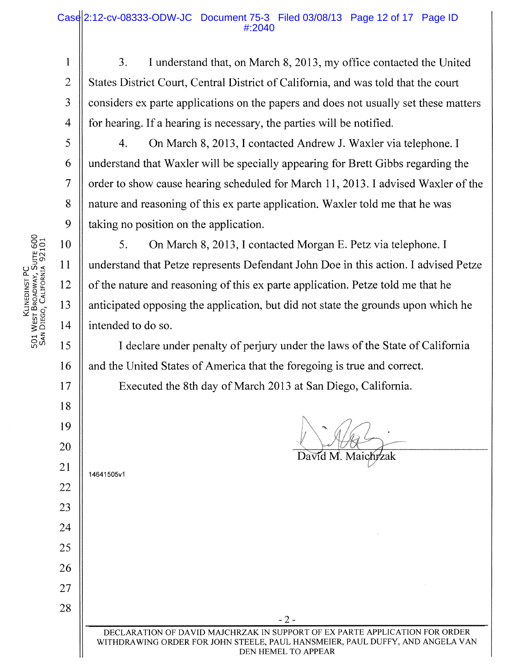## Case 2:12-cv-08333-ODW-JC Document 75-3 Filed 03/08/13 Page 12 of 17 Page ID #:2040

- 3. I understand that, on March 8, 2013, my office contacted the United  $\overline{2}$ States District Court, Central District of California, and was told that the court considers ex parte applications on the papers and does not usually set these matters 3 4 for hearing. If a hearing is necessary, the parties will be notified.
	- 4. On March 8, 2013, I contacted Andrew J. Waxler via telephone. I understand that Waxler will be specially appearing for Brett Gibbs regarding the order to show cause hearing scheduled for March 11, 2013. I advised Waxler of the nature and reasoning of this ex parte application. Waxler told me that he was taking no position on the application.

5. On March 8, 2013, I contacted Morgan E. Petz via telephone. I understand that Petze represents Defendant John Doe in this action. I advised Petze of the nature and reasoning of this ex parte application. Petze told me that he anticipated opposing the application, but did not state the grounds upon which he intended to do so.

I declare under penalty of perjury under the laws of the State of California and the United States of America that the foregoing is true and correct.

Executed the 8th day of March 2013 at San Diego, California.

David M. Maichrzak 14641505v1 - 2 - DECLARATION OF DAVID MAJCHRZAK IN SUPPORT OF EX PARTE APPLICATION FOR ORDER WITHDRAWING ORDER FOR JOHN STEELE, PAUL HANSMEIER, PAUL DUFFY, AND ANGELA VAN DEN HEMEL TO APPEAR

Klinedist PC<br>501 West Broadway, Suite 600<br>San Diego, California 92101

1

5

6

7

8

9

10

11

12

13

14

15

16

17

18

19

20

21

22

23

24

25

26

27

28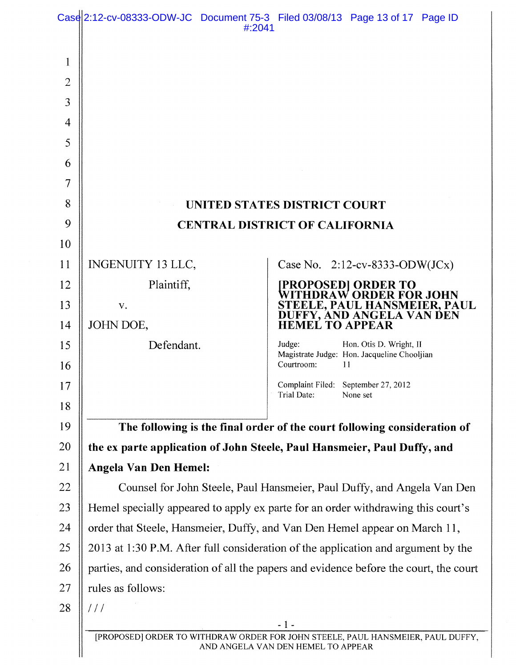|                | #:2041                                                                                | Case 2:12-cv-08333-ODW-JC Document 75-3 Filed 03/08/13 Page 13 of 17 Page ID                                          |  |
|----------------|---------------------------------------------------------------------------------------|-----------------------------------------------------------------------------------------------------------------------|--|
|                |                                                                                       |                                                                                                                       |  |
| 1              |                                                                                       |                                                                                                                       |  |
| $\overline{2}$ |                                                                                       |                                                                                                                       |  |
| 3              |                                                                                       |                                                                                                                       |  |
| $\overline{4}$ |                                                                                       |                                                                                                                       |  |
| 5              |                                                                                       |                                                                                                                       |  |
| 6              |                                                                                       |                                                                                                                       |  |
| $\overline{7}$ |                                                                                       |                                                                                                                       |  |
| 8              |                                                                                       | UNITED STATES DISTRICT COURT                                                                                          |  |
| 9              |                                                                                       | <b>CENTRAL DISTRICT OF CALIFORNIA</b>                                                                                 |  |
| 10             |                                                                                       |                                                                                                                       |  |
| 11             | INGENUITY 13 LLC,                                                                     | Case No. $2:12$ -cv-8333-ODW(JCx)                                                                                     |  |
| 12             | Plaintiff,                                                                            | <b>[PROPOSED] ORDER TO<br/>WITHDRAW ORDER FOR JOHN</b>                                                                |  |
| 13             | V.                                                                                    | STEELE, PAUL HANSMEIER, PAUL<br>DUFFY, AND ANGELA VAN DEN                                                             |  |
| 14             | JOHN DOE,                                                                             | <b>HEMEL TO APPEAR</b>                                                                                                |  |
| 15<br>16       | Defendant.                                                                            | Judge:<br>Hon. Otis D. Wright, II<br>Magistrate Judge: Hon. Jacqueline Chooljian<br>Courtroom:<br>11                  |  |
| 17             |                                                                                       | Complaint Filed: September 27, 2012                                                                                   |  |
| 18             |                                                                                       | Trial Date:<br>None set                                                                                               |  |
| 19             |                                                                                       | The following is the final order of the court following consideration of                                              |  |
| 20             |                                                                                       | the ex parte application of John Steele, Paul Hansmeier, Paul Duffy, and                                              |  |
| 21             | <b>Angela Van Den Hemel:</b>                                                          |                                                                                                                       |  |
| 22             | Counsel for John Steele, Paul Hansmeier, Paul Duffy, and Angela Van Den               |                                                                                                                       |  |
| 23             | Hemel specially appeared to apply ex parte for an order withdrawing this court's      |                                                                                                                       |  |
| 24             | order that Steele, Hansmeier, Duffy, and Van Den Hemel appear on March 11,            |                                                                                                                       |  |
| 25             | 2013 at 1:30 P.M. After full consideration of the application and argument by the     |                                                                                                                       |  |
| 26             | parties, and consideration of all the papers and evidence before the court, the court |                                                                                                                       |  |
| 27             | rules as follows:                                                                     |                                                                                                                       |  |
| 28             | $\frac{1}{2}$                                                                         |                                                                                                                       |  |
|                |                                                                                       | $-1-$                                                                                                                 |  |
|                |                                                                                       | [PROPOSED] ORDER TO WITHDRAW ORDER FOR JOHN STEELE, PAUL HANSMEIER, PAUL DUFFY,<br>AND ANGELA VAN DEN HEMEL TO APPEAR |  |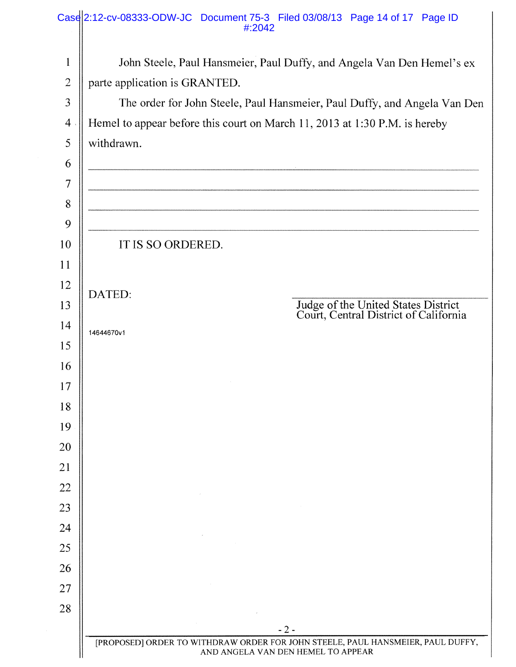|                | Case 2:12-cv-08333-ODW-JC Document 75-3 Filed 03/08/13 Page 14 of 17 Page ID<br>#:2042                                |  |  |  |  |
|----------------|-----------------------------------------------------------------------------------------------------------------------|--|--|--|--|
| $\mathbf{1}$   | John Steele, Paul Hansmeier, Paul Duffy, and Angela Van Den Hemel's ex                                                |  |  |  |  |
| $\mathbf 2$    | parte application is GRANTED.                                                                                         |  |  |  |  |
| $\overline{3}$ | The order for John Steele, Paul Hansmeier, Paul Duffy, and Angela Van Den                                             |  |  |  |  |
| $\overline{4}$ | Hemel to appear before this court on March 11, 2013 at 1:30 P.M. is hereby                                            |  |  |  |  |
| 5              | withdrawn.                                                                                                            |  |  |  |  |
| 6              |                                                                                                                       |  |  |  |  |
| $\overline{7}$ |                                                                                                                       |  |  |  |  |
| 8              |                                                                                                                       |  |  |  |  |
| 9              |                                                                                                                       |  |  |  |  |
| 10             | IT IS SO ORDERED.                                                                                                     |  |  |  |  |
| 11             |                                                                                                                       |  |  |  |  |
| 12             | DATED:                                                                                                                |  |  |  |  |
| 13             | Judge of the United States District<br>Court, Central District of California                                          |  |  |  |  |
| 14             | 14644670v1                                                                                                            |  |  |  |  |
| 15             |                                                                                                                       |  |  |  |  |
| 16             |                                                                                                                       |  |  |  |  |
| 17             |                                                                                                                       |  |  |  |  |
| 18             |                                                                                                                       |  |  |  |  |
| 19             |                                                                                                                       |  |  |  |  |
| 20             |                                                                                                                       |  |  |  |  |
| 21             |                                                                                                                       |  |  |  |  |
| 22<br>23       |                                                                                                                       |  |  |  |  |
| 24             |                                                                                                                       |  |  |  |  |
| 25             |                                                                                                                       |  |  |  |  |
| 26             |                                                                                                                       |  |  |  |  |
| 27             |                                                                                                                       |  |  |  |  |
| 28             |                                                                                                                       |  |  |  |  |
|                | $-2-$                                                                                                                 |  |  |  |  |
|                | [PROPOSED] ORDER TO WITHDRAW ORDER FOR JOHN STEELE, PAUL HANSMEIER, PAUL DUFFY,<br>AND ANGELA VAN DEN HEMEL TO APPEAR |  |  |  |  |
|                |                                                                                                                       |  |  |  |  |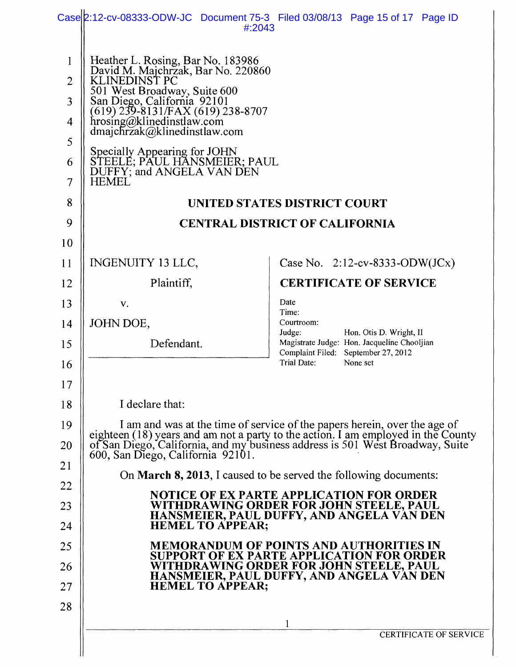|                         | #:2043                                                                                           | Case 2:12-cv-08333-ODW-JC Document 75-3 Filed 03/08/13 Page 15 of 17 Page ID                                                                                                                                                   |  |  |  |
|-------------------------|--------------------------------------------------------------------------------------------------|--------------------------------------------------------------------------------------------------------------------------------------------------------------------------------------------------------------------------------|--|--|--|
| $\mathbf{1}$            |                                                                                                  |                                                                                                                                                                                                                                |  |  |  |
| $\overline{2}$          | Heather L. Rosing, Bar No. 183986<br>David M. Majchrzak, Bar No. 220860<br>KLINEDINST PC         |                                                                                                                                                                                                                                |  |  |  |
| $\overline{\mathbf{3}}$ | 501 West Broadway, Suite 600<br>San Diego, California 92101<br>(619) 239-8131/FAX (619) 238-8707 |                                                                                                                                                                                                                                |  |  |  |
| 4                       | hrosing@klinedinstlaw.com<br>dmajchrzak@klinedinstlaw.com                                        |                                                                                                                                                                                                                                |  |  |  |
| 5                       |                                                                                                  |                                                                                                                                                                                                                                |  |  |  |
| 6                       | Specially Appearing for JOHN<br>STEELE; PAUL HANSMEIER; PAUL<br>DUFFY; and ANGELA VAN DEN        |                                                                                                                                                                                                                                |  |  |  |
| 7                       | <b>HEMEL</b>                                                                                     |                                                                                                                                                                                                                                |  |  |  |
| 8                       |                                                                                                  | UNITED STATES DISTRICT COURT                                                                                                                                                                                                   |  |  |  |
| 9                       |                                                                                                  | <b>CENTRAL DISTRICT OF CALIFORNIA</b>                                                                                                                                                                                          |  |  |  |
| 10                      |                                                                                                  |                                                                                                                                                                                                                                |  |  |  |
| 11                      | <b>INGENUITY 13 LLC,</b>                                                                         | Case No. $2:12$ -cv-8333-ODW(JCx)                                                                                                                                                                                              |  |  |  |
| 12                      | Plaintiff,                                                                                       | <b>CERTIFICATE OF SERVICE</b>                                                                                                                                                                                                  |  |  |  |
| 13                      | V.                                                                                               | Date<br>Time:                                                                                                                                                                                                                  |  |  |  |
| 14                      | JOHN DOE,                                                                                        | Courtroom:<br>Judge:<br>Hon. Otis D. Wright, II                                                                                                                                                                                |  |  |  |
| 15                      | Defendant.                                                                                       | Magistrate Judge: Hon. Jacqueline Chooljian<br>Complaint Filed: September 27, 2012                                                                                                                                             |  |  |  |
| 16                      |                                                                                                  | Trial Date:<br>None set                                                                                                                                                                                                        |  |  |  |
| 17                      |                                                                                                  |                                                                                                                                                                                                                                |  |  |  |
| 18                      | I declare that:                                                                                  |                                                                                                                                                                                                                                |  |  |  |
| 19                      |                                                                                                  |                                                                                                                                                                                                                                |  |  |  |
| 20                      |                                                                                                  | I am and was at the time of service of the papers herein, over the age of eighteen (18) years and am not a party to the action. I am employed in the County of San Diego, California, and my business address is 501 West Broa |  |  |  |
| 21                      |                                                                                                  | On <b>March 8, 2013</b> , I caused to be served the following documents:                                                                                                                                                       |  |  |  |
| 22                      | <b>NOTICE OF EX PARTE APPLICATION FOR ORDER</b>                                                  |                                                                                                                                                                                                                                |  |  |  |
| 23                      |                                                                                                  | WITHDRAWING ORDER FOR JOHN STEELE, PAUL<br>HANSMEIER, PAUL DUFFY, AND ANGELA VAN DEN                                                                                                                                           |  |  |  |
| 24                      | <b>HEMEL TO APPEAR;</b>                                                                          |                                                                                                                                                                                                                                |  |  |  |
| 25                      |                                                                                                  | <b>MEMORANDUM OF POINTS AND AUTHORITIES IN</b><br><b>SUPPORT OF EX PARTE APPLICATION FOR ORDER</b>                                                                                                                             |  |  |  |
| 26                      |                                                                                                  | WITHDRAWING ORDER FOR JOHN STEELE, PAUL<br>HANSMEIER, PAUL DUFFY, AND ANGELA VAN DEN                                                                                                                                           |  |  |  |
| 27                      | <b>HEMEL TO APPEAR:</b>                                                                          |                                                                                                                                                                                                                                |  |  |  |
| 28                      |                                                                                                  | 1                                                                                                                                                                                                                              |  |  |  |
|                         |                                                                                                  | <b>CERTIFICATE OF SERVICE</b>                                                                                                                                                                                                  |  |  |  |
|                         |                                                                                                  |                                                                                                                                                                                                                                |  |  |  |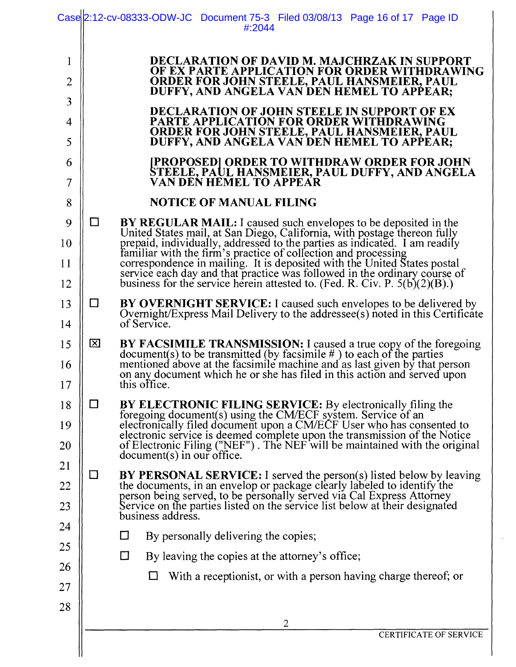|                     |        | Case 2:12-cv-08333-ODW-JC Document 75-3 Filed 03/08/13 Page 16 of 17 Page ID<br>#:2044                                                                                                                                                  |
|---------------------|--------|-----------------------------------------------------------------------------------------------------------------------------------------------------------------------------------------------------------------------------------------|
| $\mathbf{1}$        |        | DECLARATION OF DAVID M. MAJCHRZAK IN SUPPORT                                                                                                                                                                                            |
| $\overline{2}$      |        | OF EX PARTE APPLICATION FOR ORDER WITHDRAWING<br><b>ORDER FOR JOHN STEELE, PAUL HANSMEIER, PAUL</b><br>DUFFY, AND ANGELA VAN DEN HEMEL TO APPEAR;                                                                                       |
| 3                   |        | <b>DECLARATION OF JOHN STEELE IN SUPPORT OF EX</b>                                                                                                                                                                                      |
| $\overline{4}$<br>5 |        | PARTE APPLICATION FOR ORDER WITHDRAWING<br><b>ORDER FOR JOHN STEELE, PAUL HANSMEIER, PAUL</b><br>DUFFY, AND ANGELA VAN DEN HEMEL TO APPEAR;                                                                                             |
| 6<br>$\overline{7}$ |        | [PROPOSED] ORDER TO WITHDRAW ORDER FOR JOHN<br>STEELE, PAUL HANSMEIER, PAUL DUFFY, AND ANGELA<br>VAN DEN HEMEL TO APPEAR                                                                                                                |
| 8                   |        | <b>NOTICE OF MANUAL FILING</b>                                                                                                                                                                                                          |
| 9                   | □      | <b>BY REGULAR MAIL:</b> I caused such envelopes to be deposited in the                                                                                                                                                                  |
| 10                  |        | United States mail, at San Diego, California, with postage thereon fully<br>prepaid, individually, addressed to the parties as indicated. I am readily<br>familiar with the firm's practice of collection and processing                |
| 11                  |        |                                                                                                                                                                                                                                         |
| 12                  |        | correspondence in mailing. It is deposited with the United States postal<br>service each day and that practice was followed in the ordinary course of<br>business for the service herein attested to. (Fed. R. Civ. P. 5(b)(2)(B).)     |
| 13                  | $\Box$ | BY OVERNIGHT SERVICE: I caused such envelopes to be delivered by Overnight/Express Mail Delivery to the addressee(s) noted in this Certificate                                                                                          |
| 14                  |        | of Service.                                                                                                                                                                                                                             |
| 15                  | 囟      |                                                                                                                                                                                                                                         |
| 16                  |        | BY FACSIMILE TRANSMISSION: I caused a true copy of the foregoing document(s) to be transmitted (by facsimile #) to each of the parties mentioned above at the facsimile machine and as last given by that person on any docume          |
| 17                  |        | this office.                                                                                                                                                                                                                            |
| 18                  | $\Box$ | BY ELECTRONIC FILING SERVICE: By electronically filing the<br>foregoing document(s) using the CM/ECF system. Service of an<br>electronically filed document upon a CM/ECF User who has consented to                                     |
| 19                  |        | electronic service is deemed complete upon the transmission of the Notice<br>of Electronic Filing ("NEF"). The NEF will be maintained with the original                                                                                 |
| 20<br>21            |        | $document(s)$ in our office.                                                                                                                                                                                                            |
| 22                  | $\Box$ |                                                                                                                                                                                                                                         |
| 23                  |        | BY PERSONAL SERVICE: I served the person(s) listed below by leaving<br>the documents, in an envelop or package clearly labeled to identify the<br>person being served, to be personally served via Cal Express Attorney<br>Service on t |
| 24                  |        | business address.                                                                                                                                                                                                                       |
| 25                  |        | By personally delivering the copies;<br>$\Box$                                                                                                                                                                                          |
| 26                  |        | $\Box$<br>By leaving the copies at the attorney's office;                                                                                                                                                                               |
| 27                  |        | With a receptionist, or with a person having charge thereof; or                                                                                                                                                                         |
| 28                  |        |                                                                                                                                                                                                                                         |
|                     |        |                                                                                                                                                                                                                                         |
|                     |        | 2<br>CERTIFICATE OF SERVICE                                                                                                                                                                                                             |